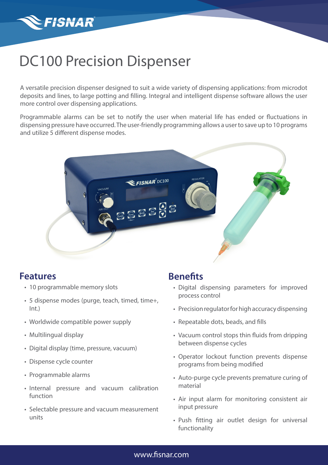

# DC100 Precision Dispenser

A versatile precision dispenser designed to suit a wide variety of dispensing applications: from microdot deposits and lines, to large potting and filling. Integral and intelligent dispense software allows the user more control over dispensing applications.

Programmable alarms can be set to notify the user when material life has ended or fluctuations in dispensing pressure have occurred. The user-friendly programming allows a user to save up to 10 programs and utilize 5 different dispense modes.



### **Features**

- 10 programmable memory slots
- 5 dispense modes (purge, teach, timed, time+, Int.)
- Worldwide compatible power supply
- Multilingual display
- Digital display (time, pressure, vacuum)
- Dispense cycle counter
- Programmable alarms
- Internal pressure and vacuum calibration function
- Selectable pressure and vacuum measurement units

### **Benefits**

- Digital dispensing parameters for improved process control
- Precision regulator for high accuracy dispensing
- Repeatable dots, beads, and fills
- Vacuum control stops thin fluids from dripping between dispense cycles
- Operator lockout function prevents dispense programs from being modified
- Auto-purge cycle prevents premature curing of material
- Air input alarm for monitoring consistent air input pressure
- Push fitting air outlet design for universal functionality